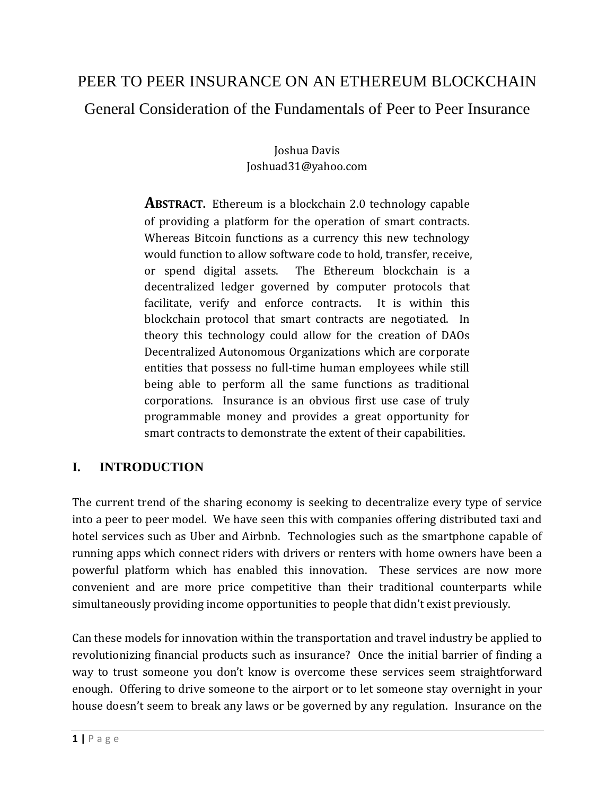# PEER TO PEER INSURANCE ON AN ETHEREUM BLOCKCHAIN General Consideration of the Fundamentals of Peer to Peer Insurance

Joshua Davis Joshuad31@yahoo.com

**ABSTRACT.** Ethereum is a blockchain 2.0 technology capable of providing a platform for the operation of smart contracts. Whereas Bitcoin functions as a currency this new technology would function to allow software code to hold, transfer, receive, or spend digital assets. The Ethereum blockchain is a decentralized ledger governed by computer protocols that facilitate, verify and enforce contracts. It is within this blockchain protocol that smart contracts are negotiated. In theory this technology could allow for the creation of DAOs Decentralized Autonomous Organizations which are corporate entities that possess no full-time human employees while still being able to perform all the same functions as traditional corporations. Insurance is an obvious first use case of truly programmable money and provides a great opportunity for smart contracts to demonstrate the extent of their capabilities.

## **I. INTRODUCTION**

The current trend of the sharing economy is seeking to decentralize every type of service into a peer to peer model. We have seen this with companies offering distributed taxi and hotel services such as Uber and Airbnb. Technologies such as the smartphone capable of running apps which connect riders with drivers or renters with home owners have been a powerful platform which has enabled this innovation. These services are now more convenient and are more price competitive than their traditional counterparts while simultaneously providing income opportunities to people that didn't exist previously.

Can these models for innovation within the transportation and travel industry be applied to revolutionizing financial products such as insurance? Once the initial barrier of finding a way to trust someone you don't know is overcome these services seem straightforward enough. Offering to drive someone to the airport or to let someone stay overnight in your house doesn't seem to break any laws or be governed by any regulation. Insurance on the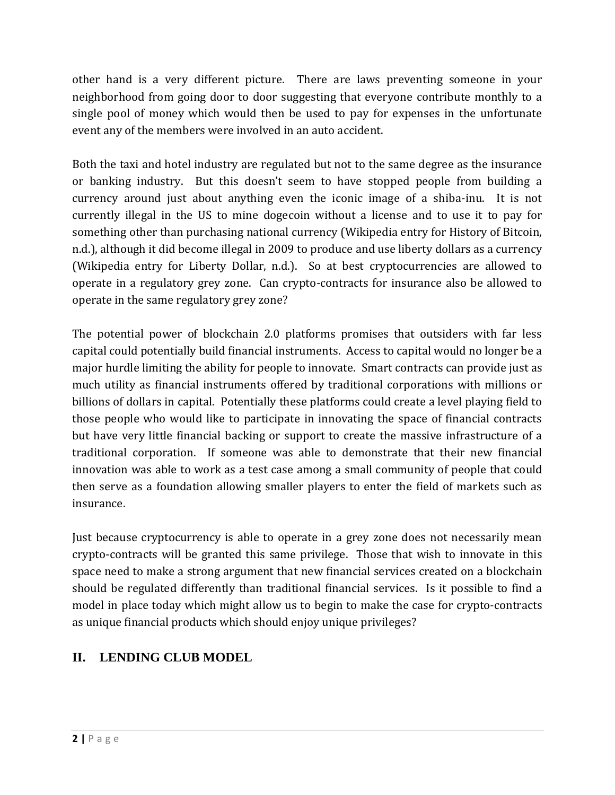other hand is a very different picture. There are laws preventing someone in your neighborhood from going door to door suggesting that everyone contribute monthly to a single pool of money which would then be used to pay for expenses in the unfortunate event any of the members were involved in an auto accident.

Both the taxi and hotel industry are regulated but not to the same degree as the insurance or banking industry. But this doesn't seem to have stopped people from building a currency around just about anything even the iconic image of a shiba-inu. It is not currently illegal in the US to mine dogecoin without a license and to use it to pay for something other than purchasing national currency (Wikipedia entry for History of Bitcoin, n.d.), although it did become illegal in 2009 to produce and use liberty dollars as a currency (Wikipedia entry for Liberty Dollar, n.d.). So at best cryptocurrencies are allowed to operate in a regulatory grey zone. Can crypto-contracts for insurance also be allowed to operate in the same regulatory grey zone?

The potential power of blockchain 2.0 platforms promises that outsiders with far less capital could potentially build financial instruments. Access to capital would no longer be a major hurdle limiting the ability for people to innovate. Smart contracts can provide just as much utility as financial instruments offered by traditional corporations with millions or billions of dollars in capital. Potentially these platforms could create a level playing field to those people who would like to participate in innovating the space of financial contracts but have very little financial backing or support to create the massive infrastructure of a traditional corporation. If someone was able to demonstrate that their new financial innovation was able to work as a test case among a small community of people that could then serve as a foundation allowing smaller players to enter the field of markets such as insurance.

Just because cryptocurrency is able to operate in a grey zone does not necessarily mean crypto-contracts will be granted this same privilege. Those that wish to innovate in this space need to make a strong argument that new financial services created on a blockchain should be regulated differently than traditional financial services. Is it possible to find a model in place today which might allow us to begin to make the case for crypto-contracts as unique financial products which should enjoy unique privileges?

## **II. LENDING CLUB MODEL**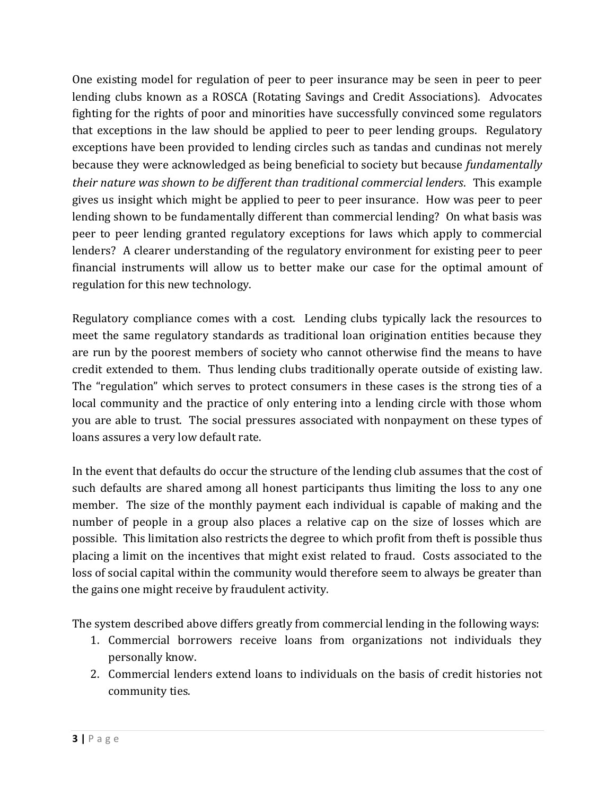One existing model for regulation of peer to peer insurance may be seen in peer to peer lending clubs known as a ROSCA (Rotating Savings and Credit Associations). Advocates fighting for the rights of poor and minorities have successfully convinced some regulators that exceptions in the law should be applied to peer to peer lending groups. Regulatory exceptions have been provided to lending circles such as tandas and cundinas not merely because they were acknowledged as being beneficial to society but because *fundamentally their nature was shown to be different than traditional commercial lenders*. This example gives us insight which might be applied to peer to peer insurance. How was peer to peer lending shown to be fundamentally different than commercial lending? On what basis was peer to peer lending granted regulatory exceptions for laws which apply to commercial lenders? A clearer understanding of the regulatory environment for existing peer to peer financial instruments will allow us to better make our case for the optimal amount of regulation for this new technology.

Regulatory compliance comes with a cost. Lending clubs typically lack the resources to meet the same regulatory standards as traditional loan origination entities because they are run by the poorest members of society who cannot otherwise find the means to have credit extended to them. Thus lending clubs traditionally operate outside of existing law. The "regulation" which serves to protect consumers in these cases is the strong ties of a local community and the practice of only entering into a lending circle with those whom you are able to trust. The social pressures associated with nonpayment on these types of loans assures a very low default rate.

In the event that defaults do occur the structure of the lending club assumes that the cost of such defaults are shared among all honest participants thus limiting the loss to any one member. The size of the monthly payment each individual is capable of making and the number of people in a group also places a relative cap on the size of losses which are possible. This limitation also restricts the degree to which profit from theft is possible thus placing a limit on the incentives that might exist related to fraud. Costs associated to the loss of social capital within the community would therefore seem to always be greater than the gains one might receive by fraudulent activity.

The system described above differs greatly from commercial lending in the following ways:

- 1. Commercial borrowers receive loans from organizations not individuals they personally know.
- 2. Commercial lenders extend loans to individuals on the basis of credit histories not community ties.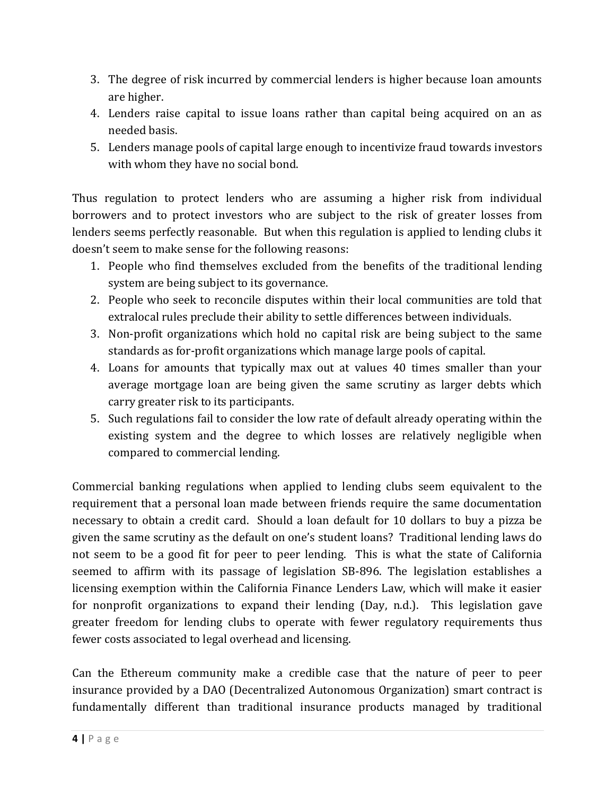- 3. The degree of risk incurred by commercial lenders is higher because loan amounts are higher.
- 4. Lenders raise capital to issue loans rather than capital being acquired on an as needed basis.
- 5. Lenders manage pools of capital large enough to incentivize fraud towards investors with whom they have no social bond.

Thus regulation to protect lenders who are assuming a higher risk from individual borrowers and to protect investors who are subject to the risk of greater losses from lenders seems perfectly reasonable. But when this regulation is applied to lending clubs it doesn't seem to make sense for the following reasons:

- 1. People who find themselves excluded from the benefits of the traditional lending system are being subject to its governance.
- 2. People who seek to reconcile disputes within their local communities are told that extralocal rules preclude their ability to settle differences between individuals.
- 3. Non-profit organizations which hold no capital risk are being subject to the same standards as for-profit organizations which manage large pools of capital.
- 4. Loans for amounts that typically max out at values 40 times smaller than your average mortgage loan are being given the same scrutiny as larger debts which carry greater risk to its participants.
- 5. Such regulations fail to consider the low rate of default already operating within the existing system and the degree to which losses are relatively negligible when compared to commercial lending.

Commercial banking regulations when applied to lending clubs seem equivalent to the requirement that a personal loan made between friends require the same documentation necessary to obtain a credit card. Should a loan default for 10 dollars to buy a pizza be given the same scrutiny as the default on one's student loans? Traditional lending laws do not seem to be a good fit for peer to peer lending. This is what the state of California seemed to affirm with its passage of legislation SB-896. The legislation establishes a licensing exemption within the California Finance Lenders Law, which will make it easier for nonprofit organizations to expand their lending (Day, n.d.). This legislation gave greater freedom for lending clubs to operate with fewer regulatory requirements thus fewer costs associated to legal overhead and licensing.

Can the Ethereum community make a credible case that the nature of peer to peer insurance provided by a DAO (Decentralized Autonomous Organization) smart contract is fundamentally different than traditional insurance products managed by traditional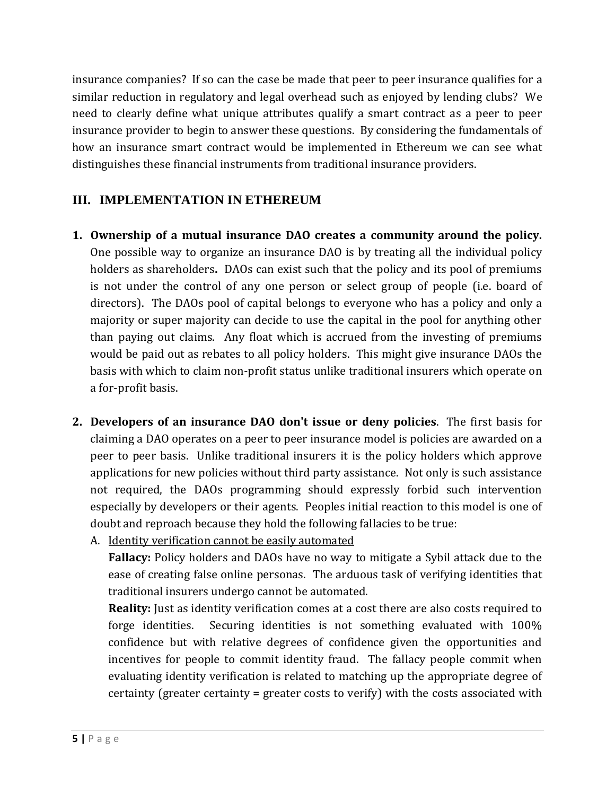insurance companies? If so can the case be made that peer to peer insurance qualifies for a similar reduction in regulatory and legal overhead such as enjoyed by lending clubs? We need to clearly define what unique attributes qualify a smart contract as a peer to peer insurance provider to begin to answer these questions. By considering the fundamentals of how an insurance smart contract would be implemented in Ethereum we can see what distinguishes these financial instruments from traditional insurance providers.

## **III. IMPLEMENTATION IN ETHEREUM**

- **1. Ownership of a mutual insurance DAO creates a community around the policy.**  One possible way to organize an insurance DAO is by treating all the individual policy holders as shareholders**.** DAOs can exist such that the policy and its pool of premiums is not under the control of any one person or select group of people (i.e. board of directors). The DAOs pool of capital belongs to everyone who has a policy and only a majority or super majority can decide to use the capital in the pool for anything other than paying out claims. Any float which is accrued from the investing of premiums would be paid out as rebates to all policy holders. This might give insurance DAOs the basis with which to claim non-profit status unlike traditional insurers which operate on a for-profit basis.
- **2. Developers of an insurance DAO don't issue or deny policies**. The first basis for claiming a DAO operates on a peer to peer insurance model is policies are awarded on a peer to peer basis. Unlike traditional insurers it is the policy holders which approve applications for new policies without third party assistance. Not only is such assistance not required, the DAOs programming should expressly forbid such intervention especially by developers or their agents. Peoples initial reaction to this model is one of doubt and reproach because they hold the following fallacies to be true:
	- A. Identity verification cannot be easily automated

**Fallacy:** Policy holders and DAOs have no way to mitigate a Sybil attack due to the ease of creating false online personas. The arduous task of verifying identities that traditional insurers undergo cannot be automated.

**Reality:** Just as identity verification comes at a cost there are also costs required to forge identities. Securing identities is not something evaluated with 100% confidence but with relative degrees of confidence given the opportunities and incentives for people to commit identity fraud. The fallacy people commit when evaluating identity verification is related to matching up the appropriate degree of certainty (greater certainty = greater costs to verify) with the costs associated with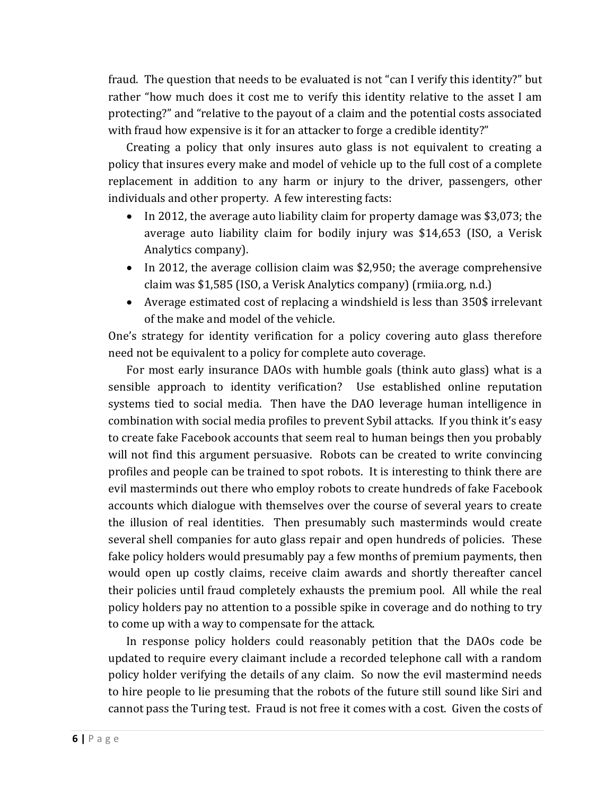fraud. The question that needs to be evaluated is not "can I verify this identity?" but rather "how much does it cost me to verify this identity relative to the asset I am protecting?" and "relative to the payout of a claim and the potential costs associated with fraud how expensive is it for an attacker to forge a credible identity?"

Creating a policy that only insures auto glass is not equivalent to creating a policy that insures every make and model of vehicle up to the full cost of a complete replacement in addition to any harm or injury to the driver, passengers, other individuals and other property. A few interesting facts:

- In 2012, the average auto liability claim for property damage was \$3,073; the average auto liability claim for bodily injury was \$14,653 (ISO, a Verisk Analytics company).
- In 2012, the average collision claim was \$2,950; the average comprehensive claim was \$1,585 (ISO, a Verisk Analytics company) (rmiia.org, n.d.)
- Average estimated cost of replacing a windshield is less than 350\$ irrelevant of the make and model of the vehicle.

One's strategy for identity verification for a policy covering auto glass therefore need not be equivalent to a policy for complete auto coverage.

For most early insurance DAOs with humble goals (think auto glass) what is a sensible approach to identity verification? Use established online reputation systems tied to social media. Then have the DAO leverage human intelligence in combination with social media profiles to prevent Sybil attacks. If you think it's easy to create fake Facebook accounts that seem real to human beings then you probably will not find this argument persuasive. Robots can be created to write convincing profiles and people can be trained to spot robots. It is interesting to think there are evil masterminds out there who employ robots to create hundreds of fake Facebook accounts which dialogue with themselves over the course of several years to create the illusion of real identities. Then presumably such masterminds would create several shell companies for auto glass repair and open hundreds of policies. These fake policy holders would presumably pay a few months of premium payments, then would open up costly claims, receive claim awards and shortly thereafter cancel their policies until fraud completely exhausts the premium pool. All while the real policy holders pay no attention to a possible spike in coverage and do nothing to try to come up with a way to compensate for the attack.

In response policy holders could reasonably petition that the DAOs code be updated to require every claimant include a recorded telephone call with a random policy holder verifying the details of any claim. So now the evil mastermind needs to hire people to lie presuming that the robots of the future still sound like Siri and cannot pass the Turing test. Fraud is not free it comes with a cost. Given the costs of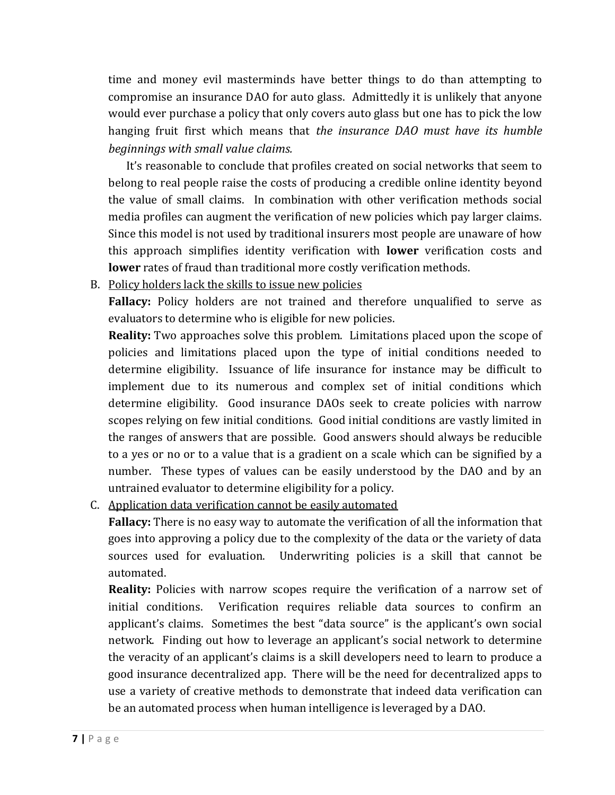time and money evil masterminds have better things to do than attempting to compromise an insurance DAO for auto glass. Admittedly it is unlikely that anyone would ever purchase a policy that only covers auto glass but one has to pick the low hanging fruit first which means that *the insurance DAO must have its humble beginnings with small value claims.* 

It's reasonable to conclude that profiles created on social networks that seem to belong to real people raise the costs of producing a credible online identity beyond the value of small claims. In combination with other verification methods social media profiles can augment the verification of new policies which pay larger claims. Since this model is not used by traditional insurers most people are unaware of how this approach simplifies identity verification with **lower** verification costs and **lower** rates of fraud than traditional more costly verification methods.

B. Policy holders lack the skills to issue new policies

**Fallacy:** Policy holders are not trained and therefore unqualified to serve as evaluators to determine who is eligible for new policies.

**Reality:** Two approaches solve this problem. Limitations placed upon the scope of policies and limitations placed upon the type of initial conditions needed to determine eligibility. Issuance of life insurance for instance may be difficult to implement due to its numerous and complex set of initial conditions which determine eligibility. Good insurance DAOs seek to create policies with narrow scopes relying on few initial conditions. Good initial conditions are vastly limited in the ranges of answers that are possible. Good answers should always be reducible to a yes or no or to a value that is a gradient on a scale which can be signified by a number. These types of values can be easily understood by the DAO and by an untrained evaluator to determine eligibility for a policy.

C. Application data verification cannot be easily automated

**Fallacy:** There is no easy way to automate the verification of all the information that goes into approving a policy due to the complexity of the data or the variety of data sources used for evaluation. Underwriting policies is a skill that cannot be automated.

**Reality:** Policies with narrow scopes require the verification of a narrow set of initial conditions. Verification requires reliable data sources to confirm an applicant's claims. Sometimes the best "data source" is the applicant's own social network. Finding out how to leverage an applicant's social network to determine the veracity of an applicant's claims is a skill developers need to learn to produce a good insurance decentralized app. There will be the need for decentralized apps to use a variety of creative methods to demonstrate that indeed data verification can be an automated process when human intelligence is leveraged by a DAO.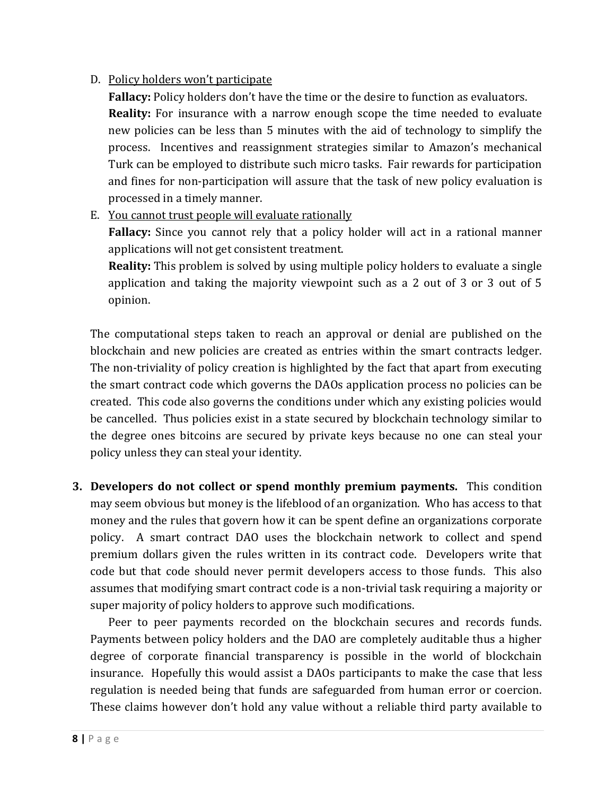#### D. Policy holders won't participate

**Fallacy:** Policy holders don't have the time or the desire to function as evaluators. **Reality:** For insurance with a narrow enough scope the time needed to evaluate new policies can be less than 5 minutes with the aid of technology to simplify the process. Incentives and reassignment strategies similar to Amazon's mechanical Turk can be employed to distribute such micro tasks. Fair rewards for participation and fines for non-participation will assure that the task of new policy evaluation is processed in a timely manner.

E. You cannot trust people will evaluate rationally

**Fallacy:** Since you cannot rely that a policy holder will act in a rational manner applications will not get consistent treatment.

**Reality:** This problem is solved by using multiple policy holders to evaluate a single application and taking the majority viewpoint such as a 2 out of 3 or 3 out of 5 opinion.

The computational steps taken to reach an approval or denial are published on the blockchain and new policies are created as entries within the smart contracts ledger. The non-triviality of policy creation is highlighted by the fact that apart from executing the smart contract code which governs the DAOs application process no policies can be created. This code also governs the conditions under which any existing policies would be cancelled. Thus policies exist in a state secured by blockchain technology similar to the degree ones bitcoins are secured by private keys because no one can steal your policy unless they can steal your identity.

**3. Developers do not collect or spend monthly premium payments.** This condition may seem obvious but money is the lifeblood of an organization. Who has access to that money and the rules that govern how it can be spent define an organizations corporate policy. A smart contract DAO uses the blockchain network to collect and spend premium dollars given the rules written in its contract code. Developers write that code but that code should never permit developers access to those funds. This also assumes that modifying smart contract code is a non-trivial task requiring a majority or super majority of policy holders to approve such modifications.

Peer to peer payments recorded on the blockchain secures and records funds. Payments between policy holders and the DAO are completely auditable thus a higher degree of corporate financial transparency is possible in the world of blockchain insurance. Hopefully this would assist a DAOs participants to make the case that less regulation is needed being that funds are safeguarded from human error or coercion. These claims however don't hold any value without a reliable third party available to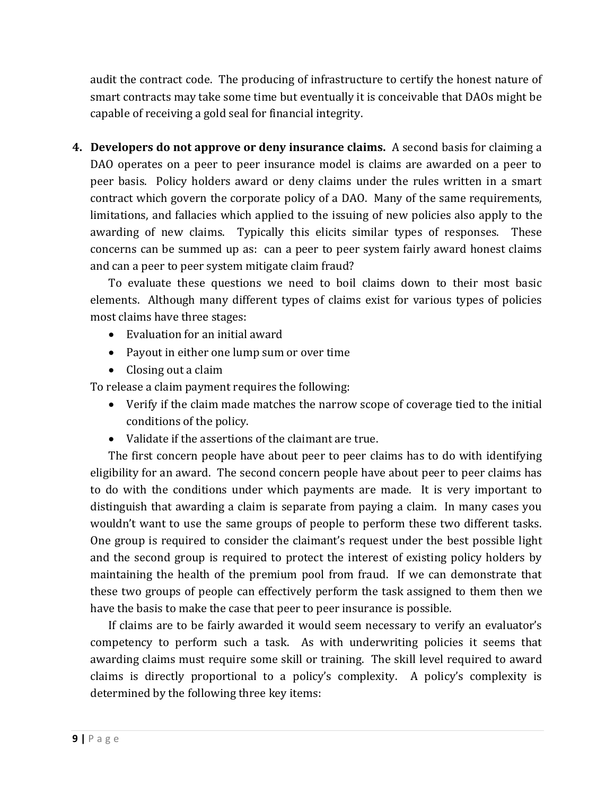audit the contract code. The producing of infrastructure to certify the honest nature of smart contracts may take some time but eventually it is conceivable that DAOs might be capable of receiving a gold seal for financial integrity.

**4. Developers do not approve or deny insurance claims.** A second basis for claiming a DAO operates on a peer to peer insurance model is claims are awarded on a peer to peer basis.Policy holders award or deny claims under the rules written in a smart contract which govern the corporate policy of a DAO. Many of the same requirements, limitations, and fallacies which applied to the issuing of new policies also apply to the awarding of new claims. Typically this elicits similar types of responses. These concerns can be summed up as: can a peer to peer system fairly award honest claims and can a peer to peer system mitigate claim fraud?

To evaluate these questions we need to boil claims down to their most basic elements. Although many different types of claims exist for various types of policies most claims have three stages:

- Evaluation for an initial award
- Payout in either one lump sum or over time
- Closing out a claim

To release a claim payment requires the following:

- Verify if the claim made matches the narrow scope of coverage tied to the initial conditions of the policy.
- Validate if the assertions of the claimant are true.

The first concern people have about peer to peer claims has to do with identifying eligibility for an award. The second concern people have about peer to peer claims has to do with the conditions under which payments are made. It is very important to distinguish that awarding a claim is separate from paying a claim. In many cases you wouldn't want to use the same groups of people to perform these two different tasks. One group is required to consider the claimant's request under the best possible light and the second group is required to protect the interest of existing policy holders by maintaining the health of the premium pool from fraud. If we can demonstrate that these two groups of people can effectively perform the task assigned to them then we have the basis to make the case that peer to peer insurance is possible.

If claims are to be fairly awarded it would seem necessary to verify an evaluator's competency to perform such a task. As with underwriting policies it seems that awarding claims must require some skill or training. The skill level required to award claims is directly proportional to a policy's complexity. A policy's complexity is determined by the following three key items: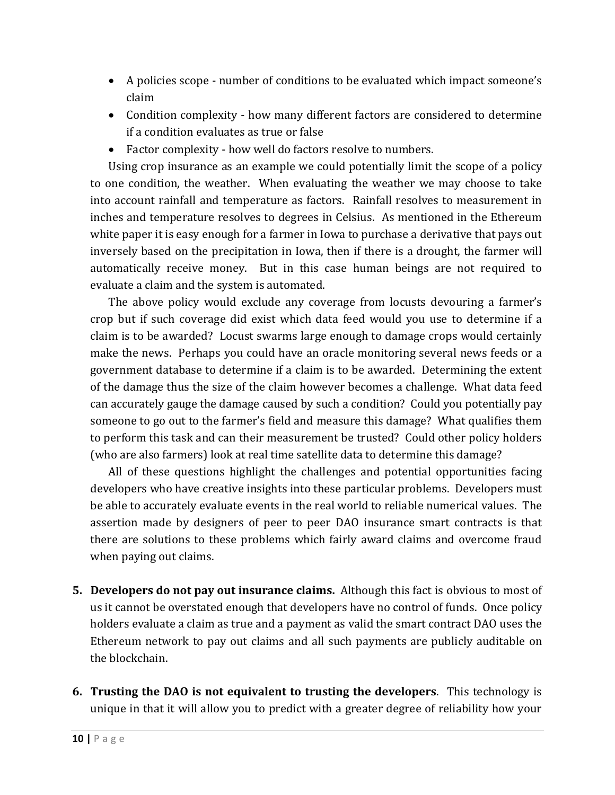- A policies scope number of conditions to be evaluated which impact someone's claim
- Condition complexity how many different factors are considered to determine if a condition evaluates as true or false
- Factor complexity how well do factors resolve to numbers.

Using crop insurance as an example we could potentially limit the scope of a policy to one condition, the weather. When evaluating the weather we may choose to take into account rainfall and temperature as factors. Rainfall resolves to measurement in inches and temperature resolves to degrees in Celsius. As mentioned in the Ethereum white paper it is easy enough for a farmer in Iowa to purchase a derivative that pays out inversely based on the precipitation in Iowa, then if there is a drought, the farmer will automatically receive money. But in this case human beings are not required to evaluate a claim and the system is automated.

The above policy would exclude any coverage from locusts devouring a farmer's crop but if such coverage did exist which data feed would you use to determine if a claim is to be awarded? Locust swarms large enough to damage crops would certainly make the news. Perhaps you could have an oracle monitoring several news feeds or a government database to determine if a claim is to be awarded. Determining the extent of the damage thus the size of the claim however becomes a challenge. What data feed can accurately gauge the damage caused by such a condition? Could you potentially pay someone to go out to the farmer's field and measure this damage? What qualifies them to perform this task and can their measurement be trusted? Could other policy holders (who are also farmers) look at real time satellite data to determine this damage?

All of these questions highlight the challenges and potential opportunities facing developers who have creative insights into these particular problems. Developers must be able to accurately evaluate events in the real world to reliable numerical values. The assertion made by designers of peer to peer DAO insurance smart contracts is that there are solutions to these problems which fairly award claims and overcome fraud when paying out claims.

- **5. Developers do not pay out insurance claims.** Although this fact is obvious to most of us it cannot be overstated enough that developers have no control of funds. Once policy holders evaluate a claim as true and a payment as valid the smart contract DAO uses the Ethereum network to pay out claims and all such payments are publicly auditable on the blockchain.
- **6. Trusting the DAO is not equivalent to trusting the developers**. This technology is unique in that it will allow you to predict with a greater degree of reliability how your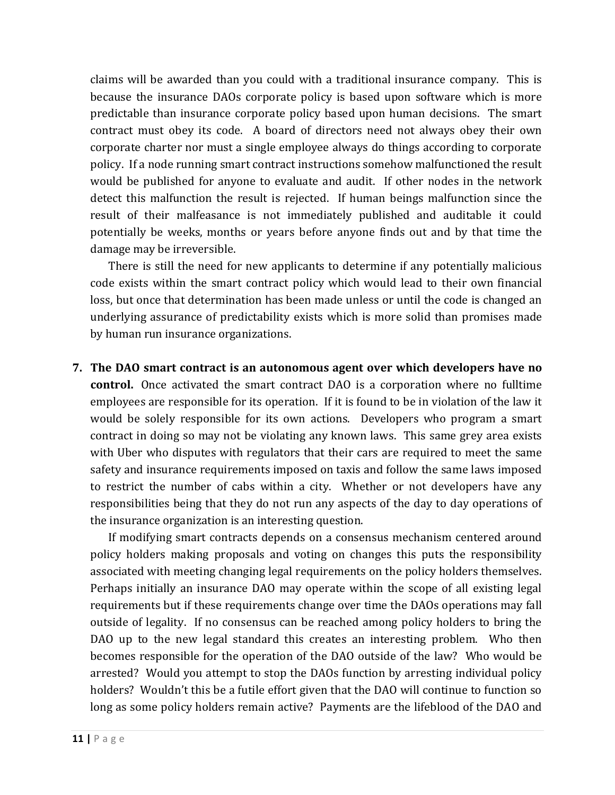claims will be awarded than you could with a traditional insurance company. This is because the insurance DAOs corporate policy is based upon software which is more predictable than insurance corporate policy based upon human decisions. The smart contract must obey its code. A board of directors need not always obey their own corporate charter nor must a single employee always do things according to corporate policy. If a node running smart contract instructions somehow malfunctioned the result would be published for anyone to evaluate and audit. If other nodes in the network detect this malfunction the result is rejected. If human beings malfunction since the result of their malfeasance is not immediately published and auditable it could potentially be weeks, months or years before anyone finds out and by that time the damage may be irreversible.

There is still the need for new applicants to determine if any potentially malicious code exists within the smart contract policy which would lead to their own financial loss, but once that determination has been made unless or until the code is changed an underlying assurance of predictability exists which is more solid than promises made by human run insurance organizations.

**7. The DAO smart contract is an autonomous agent over which developers have no control.** Once activated the smart contract DAO is a corporation where no fulltime employees are responsible for its operation. If it is found to be in violation of the law it would be solely responsible for its own actions. Developers who program a smart contract in doing so may not be violating any known laws. This same grey area exists with Uber who disputes with regulators that their cars are required to meet the same safety and insurance requirements imposed on taxis and follow the same laws imposed to restrict the number of cabs within a city. Whether or not developers have any responsibilities being that they do not run any aspects of the day to day operations of the insurance organization is an interesting question.

If modifying smart contracts depends on a consensus mechanism centered around policy holders making proposals and voting on changes this puts the responsibility associated with meeting changing legal requirements on the policy holders themselves. Perhaps initially an insurance DAO may operate within the scope of all existing legal requirements but if these requirements change over time the DAOs operations may fall outside of legality. If no consensus can be reached among policy holders to bring the DAO up to the new legal standard this creates an interesting problem. Who then becomes responsible for the operation of the DAO outside of the law? Who would be arrested? Would you attempt to stop the DAOs function by arresting individual policy holders? Wouldn't this be a futile effort given that the DAO will continue to function so long as some policy holders remain active? Payments are the lifeblood of the DAO and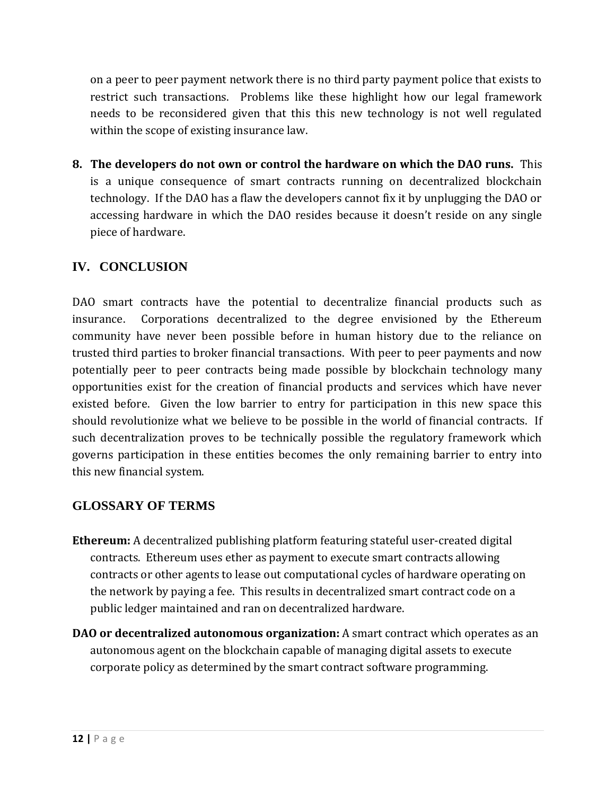on a peer to peer payment network there is no third party payment police that exists to restrict such transactions. Problems like these highlight how our legal framework needs to be reconsidered given that this this new technology is not well regulated within the scope of existing insurance law.

**8. The developers do not own or control the hardware on which the DAO runs.** This is a unique consequence of smart contracts running on decentralized blockchain technology. If the DAO has a flaw the developers cannot fix it by unplugging the DAO or accessing hardware in which the DAO resides because it doesn't reside on any single piece of hardware.

## **IV. CONCLUSION**

DAO smart contracts have the potential to decentralize financial products such as insurance. Corporations decentralized to the degree envisioned by the Ethereum community have never been possible before in human history due to the reliance on trusted third parties to broker financial transactions. With peer to peer payments and now potentially peer to peer contracts being made possible by blockchain technology many opportunities exist for the creation of financial products and services which have never existed before. Given the low barrier to entry for participation in this new space this should revolutionize what we believe to be possible in the world of financial contracts. If such decentralization proves to be technically possible the regulatory framework which governs participation in these entities becomes the only remaining barrier to entry into this new financial system.

#### **GLOSSARY OF TERMS**

- **Ethereum:** A decentralized publishing platform featuring stateful user-created digital contracts. Ethereum uses ether as payment to execute smart contracts allowing contracts or other agents to lease out computational cycles of hardware operating on the network by paying a fee. This results in decentralized smart contract code on a public ledger maintained and ran on decentralized hardware.
- **DAO or decentralized autonomous organization:** A smart contract which operates as an autonomous agent on the blockchain capable of managing digital assets to execute corporate policy as determined by the smart contract software programming.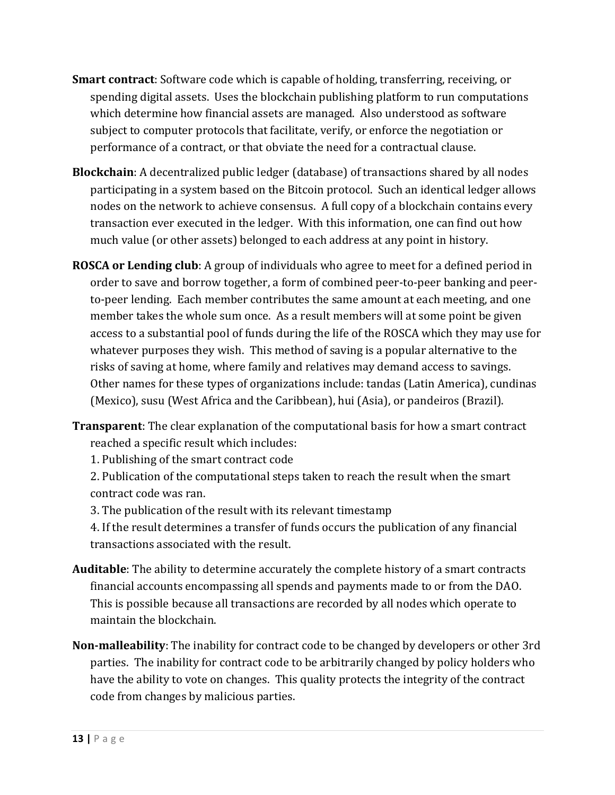- **Smart contract**: Software code which is capable of holding, transferring, receiving, or spending digital assets. Uses the blockchain publishing platform to run computations which determine how financial assets are managed. Also understood as software subject to computer protocols that facilitate, verify, or enforce the negotiation or performance of a contract, or that obviate the need for a contractual clause.
- **Blockchain**: A decentralized public ledger (database) of transactions shared by all nodes participating in a system based on the Bitcoin protocol. Such an identical ledger allows nodes on the network to achieve consensus. A full copy of a blockchain contains every transaction ever executed in the ledger. With this information, one can find out how much value (or other assets) belonged to each address at any point in history.
- **ROSCA or Lending club**: A group of individuals who agree to meet for a defined period in order to save and borrow together, a form of combined peer-to-peer banking and peerto-peer lending. Each member contributes the same amount at each meeting, and one member takes the whole sum once. As a result members will at some point be given access to a substantial pool of funds during the life of the ROSCA which they may use for whatever purposes they wish. This method of saving is a popular alternative to the risks of saving at home, where family and relatives may demand access to savings. Other names for these types of organizations include: tandas (Latin America), cundinas (Mexico), susu (West Africa and the Caribbean), hui (Asia), or pandeiros (Brazil).
- **Transparent**: The clear explanation of the computational basis for how a smart contract reached a specific result which includes:
	- 1. Publishing of the smart contract code
	- 2. Publication of the computational steps taken to reach the result when the smart contract code was ran.
	- 3. The publication of the result with its relevant timestamp
	- 4. If the result determines a transfer of funds occurs the publication of any financial transactions associated with the result.
- **Auditable**: The ability to determine accurately the complete history of a smart contracts financial accounts encompassing all spends and payments made to or from the DAO. This is possible because all transactions are recorded by all nodes which operate to maintain the blockchain.
- **Non-malleability**: The inability for contract code to be changed by developers or other 3rd parties. The inability for contract code to be arbitrarily changed by policy holders who have the ability to vote on changes. This quality protects the integrity of the contract code from changes by malicious parties.